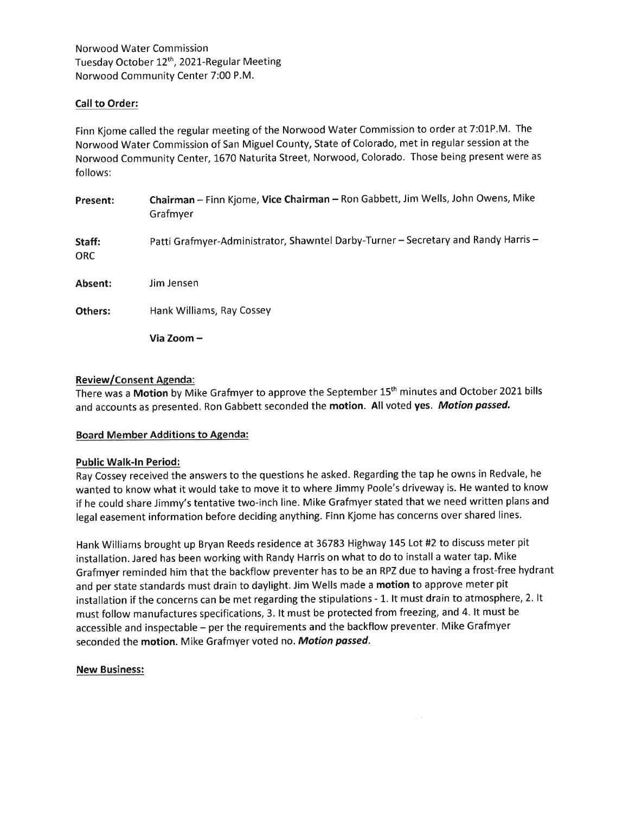Norwood Water Commission Tuesday October 12<sup>th</sup>, 2021-Regular Meeting Norwood Community Center 7:00 P.M.

# Call to Order:

Finn Kjome called the regular meeting of the Norwood Water Commission to order at 7:01P.M. The Norwood Water Commission of San Miguel County, State of Colorado, met in regular session at the Norwood Community Center, 1670 Naturita Street, Norwood, Colorado. Those being present were as follows:

| Present:       | Chairman - Finn Kjome, Vice Chairman - Ron Gabbett, Jim Wells, John Owens, Mike<br>Grafmyer |
|----------------|---------------------------------------------------------------------------------------------|
| Staff:<br>ORC. | Patti Grafmyer-Administrator, Shawntel Darby-Turner - Secretary and Randy Harris -          |
| Absent:        | Jim Jensen                                                                                  |
| Others:        | Hank Williams, Ray Cossey                                                                   |
|                | Via Zoom –                                                                                  |

## Review/Consent Agenda:

There was a Motion by Mike Grafmyer to approve the September 15<sup>th</sup> minutes and October 2021 bills and accounts as presented. Ron Gabbett seconded the motion. All voted yes. Motion passed.

# Board Member Additions to Agenda:

### Public Walk-ln Period:

Ray Cossey received the answers to the questions he asked. Regarding the tap he owns in Redvale, he wanted to know what it would take to move it to where Jimmy Poole's driveway is. He wanted to know if he could share Jimmy's tentative two-inch line. Mike Grafmyer stated that we need written plans and legal easement information before deciding anything. Finn Kjome has concerns over shared lines.

Hank Williams brought up Bryan Reeds residence at 36783 Highway 145 Lot #2 to discuss meter pit installation. Jared has been working with Randy Harris on what to do to install a water tap. Mike Grafmyer reminded him that the backflow preventer has to be an RPZ due to having a frost-free hydrant and per state standards must drain to daylight. Jim Wells made a motion to approve meter pit installation if the concerns can be met regarding the stipulations - 1. It must drain to atmosphere, 2. It must follow manufactures specifications, 3. lt must be protected from freezing, and 4. lt must be accessible and inspectable - per the requirements and the backflow preventer. Mike Grafmyer seconded the motion. Mike Grafmyer voted no. Motion passed.

### New Business: